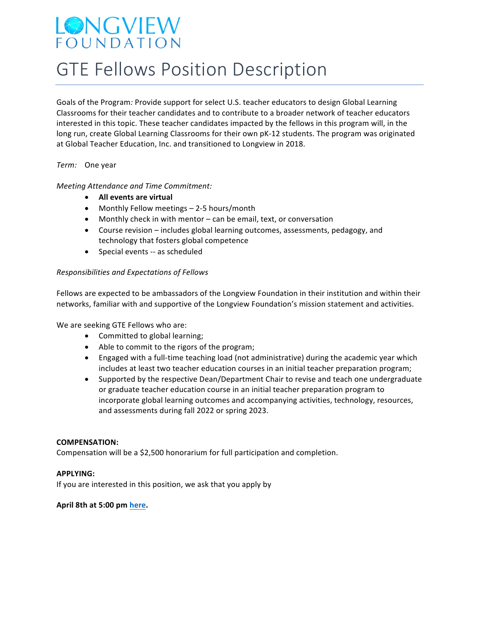## LONGVIEW FOUNDATION

# **GTE Fellows Position Description**

Goals of the Program: Provide support for select U.S. teacher educators to design Global Learning Classrooms for their teacher candidates and to contribute to a broader network of teacher educators interested in this topic. These teacher candidates impacted by the fellows in this program will, in the long run, create Global Learning Classrooms for their own pK-12 students. The program was originated at Global Teacher Education, Inc. and transitioned to Longview in 2018.

*Term:* One year

### *Meeting Attendance and Time Commitment:*

- **•** All events are virtual
- Monthly Fellow meetings  $-$  2-5 hours/month
- Monthly check in with mentor can be email, text, or conversation
- Course revision includes global learning outcomes, assessments, pedagogy, and technology that fosters global competence
- Special events -- as scheduled

#### *Responsibilities and Expectations of Fellows*

Fellows are expected to be ambassadors of the Longview Foundation in their institution and within their networks, familiar with and supportive of the Longview Foundation's mission statement and activities.

We are seeking GTE Fellows who are:

- Committed to global learning;
- Able to commit to the rigors of the program;
- Engaged with a full-time teaching load (not administrative) during the academic year which includes at least two teacher education courses in an initial teacher preparation program;
- Supported by the respective Dean/Department Chair to revise and teach one undergraduate or graduate teacher education course in an initial teacher preparation program to incorporate global learning outcomes and accompanying activities, technology, resources, and assessments during fall 2022 or spring 2023.

#### **COMPENSATION:**

Compensation will be a \$2,500 honorarium for full participation and completion.

#### **APPLYING:**

If you are interested in this position, we ask that you apply by

### April 8th at 5:00 pm here.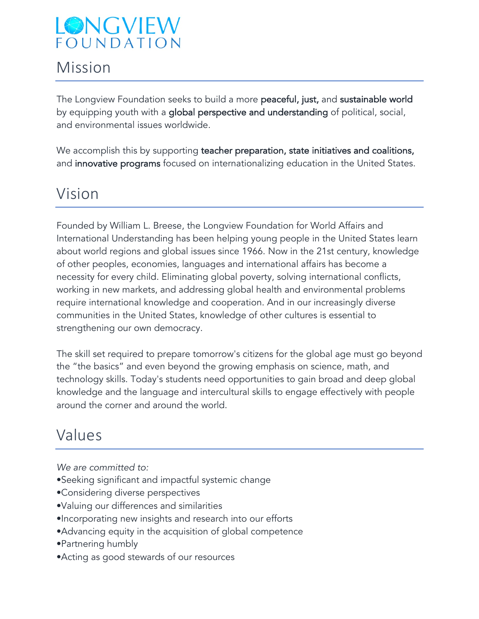## LONGVIEW FOUNDATION

### Mission

The Longview Foundation seeks to build a more peaceful, just, and sustainable world by equipping youth with a global perspective and understanding of political, social, and environmental issues worldwide.

We accomplish this by supporting teacher preparation, state initiatives and coalitions, and innovative programs focused on internationalizing education in the United States.

### Vision

Founded by William L. Breese, the Longview Foundation for World Affairs and International Understanding has been helping young people in the United States learn about world regions and global issues since 1966. Now in the 21st century, knowledge of other peoples, economies, languages and international affairs has become a necessity for every child. Eliminating global poverty, solving international conflicts, working in new markets, and addressing global health and environmental problems require international knowledge and cooperation. And in our increasingly diverse communities in the United States, knowledge of other cultures is essential to strengthening our own democracy.

The skill set required to prepare tomorrow's citizens for the global age must go beyond the "the basics" and even beyond the growing emphasis on science, math, and technology skills. Today's students need opportunities to gain broad and deep global knowledge and the language and intercultural skills to engage effectively with people around the corner and around the world.

### Values

*We are committed to:*

- •Seeking significant and impactful systemic change
- •Considering diverse perspectives
- •Valuing our differences and similarities
- •Incorporating new insights and research into our efforts
- •Advancing equity in the acquisition of global competence
- •Partnering humbly
- •Acting as good stewards of our resources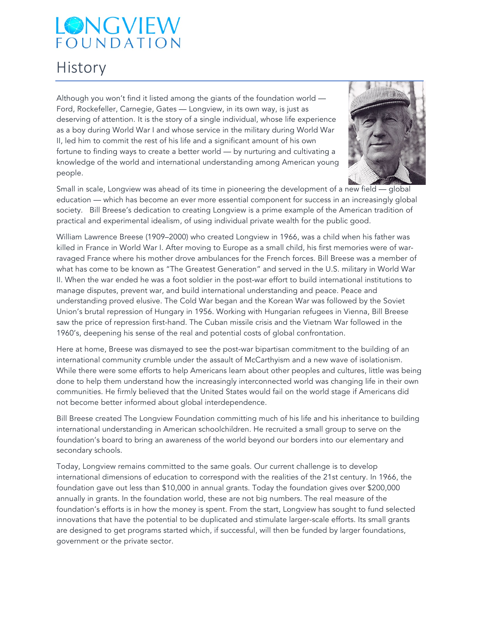## LONGVIEW FOUNDATION

### **History**

Although you won't find it listed among the giants of the foundation world — Ford, Rockefeller, Carnegie, Gates — Longview, in its own way, is just as deserving of attention. It is the story of a single individual, whose life experience as a boy during World War I and whose service in the military during World War II, led him to commit the rest of his life and a significant amount of his own fortune to finding ways to create a better world — by nurturing and cultivating a knowledge of the world and international understanding among American young people.



Small in scale, Longview was ahead of its time in pioneering the development of a new field — global education — which has become an ever more essential component for success in an increasingly global society. Bill Breese's dedication to creating Longview is a prime example of the American tradition of practical and experimental idealism, of using individual private wealth for the public good.

William Lawrence Breese (1909–2000) who created Longview in 1966, was a child when his father was killed in France in World War I. After moving to Europe as a small child, his first memories were of warravaged France where his mother drove ambulances for the French forces. Bill Breese was a member of what has come to be known as "The Greatest Generation" and served in the U.S. military in World War II. When the war ended he was a foot soldier in the post-war effort to build international institutions to manage disputes, prevent war, and build international understanding and peace. Peace and understanding proved elusive. The Cold War began and the Korean War was followed by the Soviet Union's brutal repression of Hungary in 1956. Working with Hungarian refugees in Vienna, Bill Breese saw the price of repression first-hand. The Cuban missile crisis and the Vietnam War followed in the 1960's, deepening his sense of the real and potential costs of global confrontation.

Here at home, Breese was dismayed to see the post-war bipartisan commitment to the building of an international community crumble under the assault of McCarthyism and a new wave of isolationism. While there were some efforts to help Americans learn about other peoples and cultures, little was being done to help them understand how the increasingly interconnected world was changing life in their own communities. He firmly believed that the United States would fail on the world stage if Americans did not become better informed about global interdependence.

Bill Breese created The Longview Foundation committing much of his life and his inheritance to building international understanding in American schoolchildren. He recruited a small group to serve on the foundation's board to bring an awareness of the world beyond our borders into our elementary and secondary schools.

Today, Longview remains committed to the same goals. Our current challenge is to develop international dimensions of education to correspond with the realities of the 21st century. In 1966, the foundation gave out less than \$10,000 in annual grants. Today the foundation gives over \$200,000 annually in grants. In the foundation world, these are not big numbers. The real measure of the foundation's efforts is in how the money is spent. From the start, Longview has sought to fund selected innovations that have the potential to be duplicated and stimulate larger-scale efforts. Its small grants are designed to get programs started which, if successful, will then be funded by larger foundations, government or the private sector.